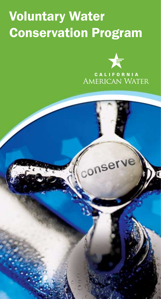## Voluntary Water Conservation Program



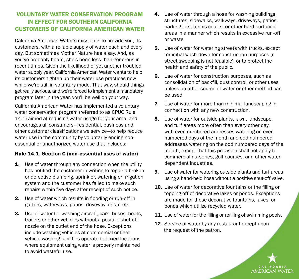## VOLUNTARY WATER CONSERVATION PROGRAM IN EFFECT FOR SOUTHERN CALIFORNIA CUSTOMERS OF CALIFORNIA AMERICAN WATER

California American Water's mission is to provide you, its customers, with a reliable supply of water each and every day. But sometimes Mother Nature has a say. And, as you've probably heard, she's been less than generous in recent times. Given the likelihood of yet another troubled water supply year, California American Water wants to help its customers tighten up their water use practices now while we're still in voluntary mode. That way, should things get really serious, and we're forced to implement a mandatory program later in the year, you'll be well on your way.

California American Water has implemented a voluntary water conservation program (referred to as CPUC Rule 14.1) aimed at reducing water usage for your area, and encourages all consumers—residential, business and other customer classifications we service—to help reduce water use in the community by voluntarily ending nonessential or unauthorized water use that includes:

## Rule 14.1, Section C (non-essential uses of water)

- **1.** Use of water through any connection when the utility has notified the customer in writing to repair a broken or defective plumbing, sprinkler, watering or irrigation system and the customer has failed to make such repairs within five days after receipt of such notice.
- 2. Use of water which results in flooding or run-off in gutters, waterways, patios, driveway, or streets.
- 3. Use of water for washing aircraft, cars, buses, boats, trailers or other vehicles without a positive shut-off nozzle on the outlet end of the hose. Exceptions include washing vehicles at commercial or fleet vehicle washing facilities operated at fixed locations where equipment using water is properly maintained to avoid wasteful use.
- 4. Use of water through a hose for washing buildings, structures, sidewalks, walkways, driveways, patios, parking lots, tennis courts, or other hard-surfaced areas in a manner which results in excessive run-off or waste.
- **5.** Use of water for watering streets with trucks, except for initial wash-down for construction purposes (if street sweeping is not feasible), or to protect the health and safety of the public.
- **6.** Use of water for construction purposes, such as consolidation of backfill, dust control, or other uses unless no other source of water or other method can be used.
- 7. Use of water for more than minimal landscaping in connection with any new construction.
- 8. Use of water for outside plants, lawn, landscape, and turf areas more often than every other day, with even numbered addresses watering on even numbered days of the month and odd numbered addresses watering on the odd numbered days of the month, except that this provision shall not apply to commercial nurseries, golf courses, and other waterdependent industries.
- **9.** Use of water for watering outside plants and turf areas using a hand-held hose without a positive shut-off valve.
- 10. Use of water for decorative fountains or the filling or topping off of decorative lakes or ponds. Exceptions are made for those decorative fountains, lakes, or ponds which utilize recycled water.
- 11. Use of water for the filling or refilling of swimming pools.
- 12. Service of water by any restaurant except upon the request of the patron.